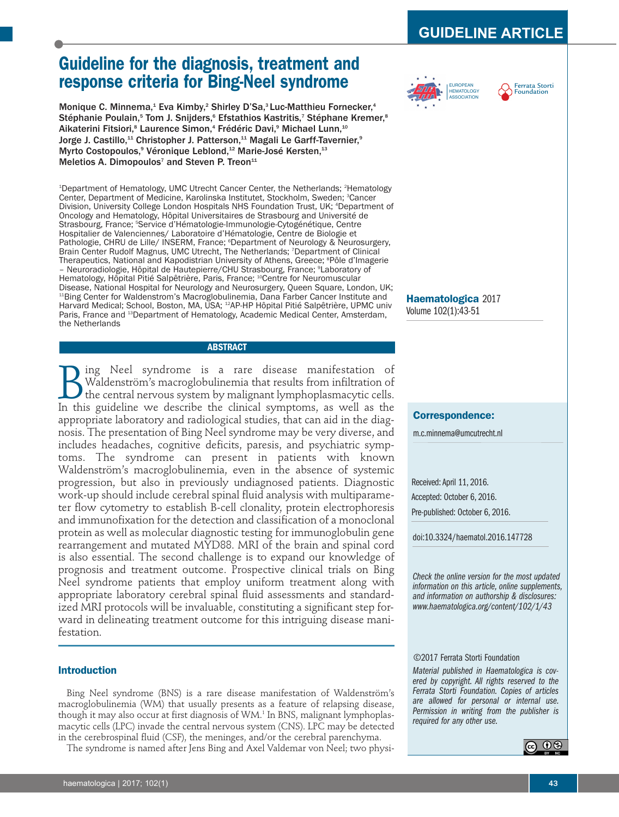# **GUIDELINE ARTICLE**

# **Guideline for the diagnosis, treatment and response criteria for Bing-Neel syndrome**

Monique C. Minnema,<sup>1</sup> Eva Kimby,<sup>2</sup> Shirley D'Sa,<sup>3</sup> Luc-Matthieu Fornecker,<sup>4</sup> Stéphanie Poulain,<sup>5</sup> Tom J. Snijders,<sup>6</sup> Efstathios Kastritis,<sup>7</sup> Stéphane Kremer,<sup>8</sup> Aikaterini Fitsiori,<sup>8</sup> Laurence Simon,<sup>4</sup> Frédéric Davi,<sup>9</sup> Michael Lunn,<sup>10</sup> Jorge J. Castillo,<sup>11</sup> Christopher J. Patterson,<sup>11</sup> Magali Le Garff-Tavernier,<sup>9</sup> Myrto Costopoulos,<sup>9</sup> Véronique Leblond,<sup>12</sup> Marie-José Kersten,<sup>13</sup> Meletios A. Dimopoulos<sup>7</sup> and Steven P. Treon<sup>11</sup>

<sup>1</sup>Department of Hematology, UMC Utrecht Cancer Center, the Netherlands; <sup>2</sup>Hematology Center, Department of Medicine, Karolinska Institutet, Stockholm, Sweden; <sup>3</sup>Cancer Division, University College London Hospitals NHS Foundation Trust, UK; 4 Department of Oncology and Hematology, Hôpital Universitaires de Strasbourg and Université de Strasbourg, France; <sup>s</sup>Service d'Hématologie-Immunologie-Cytogénétique, Centre Hospitalier de Valenciennes/ Laboratoire d'Hématologie, Centre de Biologie et Pathologie, CHRU de Lille/ INSERM, France; 6 Department of Neurology & Neurosurgery, Brain Center Rudolf Magnus, UMC Utrecht, The Netherlands; <sup>7</sup>Department of Clinical Therapeutics, National and Kapodistrian University of Athens, Greece; <sup>s</sup>Pôle d'Imagerie - Neuroradiologie, Hôpital de Hautepierre/CHU Strasbourg, France; <sup>9</sup>Laboratory of Hematology, Hôpital Pitié Salpêtrière, Paris, France; <sup>10</sup>Centre for Neuromuscular Disease, National Hospital for Neurology and Neurosurgery, Queen Square, London, UK; <sup>11</sup>Bing Center for Waldenstrom's Macroglobulinemia, Dana Farber Cancer Institute and Harvard Medical; School, Boston, MA, USA; 12AP-HP Hôpital Pitié Salpêtrière, UPMC univ Paris, France and <sup>13</sup>Department of Hematology, Academic Medical Center, Amsterdam, the Netherlands

# **ABSTRACT**

**B**ing Neel syndrome is a rare disease manifestation of Waldenström's macroglobulinemia that results from infiltration of the central nervous system by malignant lymphoplasmacytic cells.<br>In this guideline we describe the c Waldenström's macroglobulinemia that results from infiltration of the central nervous system by malignant lymphoplasmacytic cells. In this guideline we describe the clinical symptoms, as well as the appropriate laboratory and radiological studies, that can aid in the diagnosis. The presentation of Bing Neel syndrome may be very diverse, and includes headaches, cognitive deficits, paresis, and psychiatric symptoms. The syndrome can present in patients with known Waldenström's macroglobulinemia, even in the absence of systemic progression, but also in previously undiagnosed patients. Diagnostic work-up should include cerebral spinal fluid analysis with multiparameter flow cytometry to establish B-cell clonality, protein electrophoresis and immunofixation for the detection and classification of a monoclonal protein as well as molecular diagnostic testing for immunoglobulin gene rearrangement and mutated MYD88. MRI of the brain and spinal cord is also essential. The second challenge is to expand our knowledge of prognosis and treatment outcome. Prospective clinical trials on Bing Neel syndrome patients that employ uniform treatment along with appropriate laboratory cerebral spinal fluid assessments and standardized MRI protocols will be invaluable, constituting a significant step forward in delineating treatment outcome for this intriguing disease manifestation.

# **Introduction**

Bing Neel syndrome (BNS) is a rare disease manifestation of Waldenström's macroglobulinemia (WM) that usually presents as a feature of relapsing disease, though it may also occur at first diagnosis of WM.<sup>1</sup> In BNS, malignant lymphoplasmacytic cells (LPC) invade the central nervous system (CNS). LPC may be detected in the cerebrospinal fluid (CSF), the meninges, and/or the cerebral parenchyma.

The syndrome is named after Jens Bing and Axel Valdemar von Neel; two physi-





**Haematologica** 2017 Volume 102(1):43-51

## **Correspondence:**

m.c.minnema@umcutrecht.nl

Received: April 11, 2016. Accepted: October 6, 2016. Pre-published: October 6, 2016.

doi:10.3324/haematol.2016.147728

*Check the online version for the most updated information on this article, online supplements, and information on authorship & disclosures: www.haematologica.org/content/102/1/43*

## ©2017 Ferrata Storti Foundation

*Material published in Haematologica is covered by copyright. All rights reserved to the Ferrata Storti Foundation. Copies of articles are allowed for personal or internal use. Permission in writing from the publisher is required for any other use.*

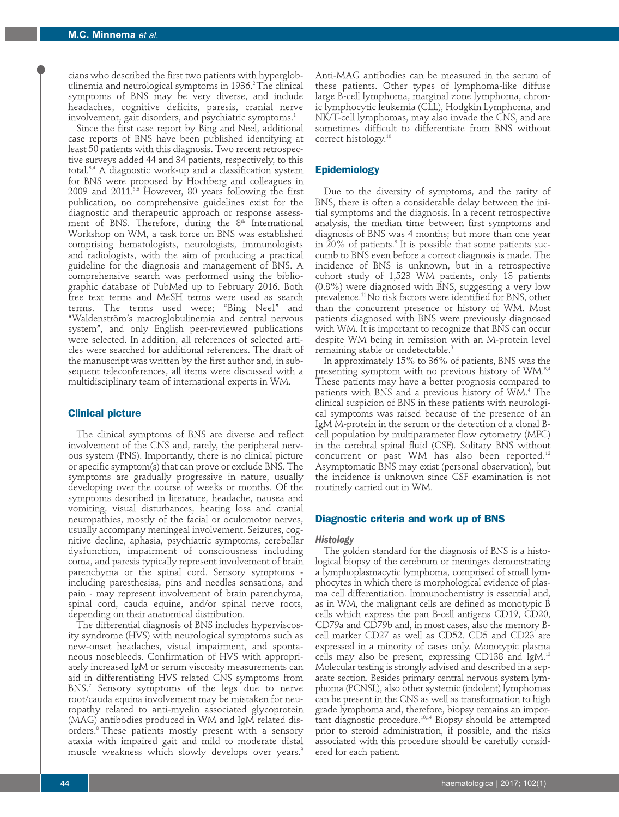cians who described the first two patients with hyperglobulinemia and neurological symptoms in 1936.<sup>2</sup> The clinical symptoms of BNS may be very diverse, and include headaches, cognitive deficits, paresis, cranial nerve involvement, gait disorders, and psychiatric symptoms.<sup>1</sup>

Since the first case report by Bing and Neel, additional case reports of BNS have been published identifying at least 50 patients with this diagnosis. Two recent retrospective surveys added 44 and 34 patients, respectively, to this total.3,4 A diagnostic work-up and a classification system for BNS were proposed by Hochberg and colleagues in  $2009$  and  $2011<sup>5,6</sup>$  However, 80 years following the first publication, no comprehensive guidelines exist for the diagnostic and therapeutic approach or response assessment of BNS. Therefore, during the  $8<sup>th</sup>$  International Workshop on WM, a task force on BNS was established comprising hematologists, neurologists, immunologists and radiologists, with the aim of producing a practical guideline for the diagnosis and management of BNS. A comprehensive search was performed using the bibliographic database of PubMed up to February 2016. Both free text terms and MeSH terms were used as search terms. The terms used were; "Bing Neel" and "Waldenström's macroglobulinemia and central nervous system", and only English peer-reviewed publications were selected. In addition, all references of selected articles were searched for additional references. The draft of the manuscript was written by the first author and, in subsequent teleconferences, all items were discussed with a multidisciplinary team of international experts in WM.

# **Clinical picture**

The clinical symptoms of BNS are diverse and reflect involvement of the CNS and, rarely, the peripheral nervous system (PNS). Importantly, there is no clinical picture or specific symptom(s) that can prove or exclude BNS. The symptoms are gradually progressive in nature, usually developing over the course of weeks or months. Of the symptoms described in literature, headache, nausea and vomiting, visual disturbances, hearing loss and cranial neuropathies, mostly of the facial or oculomotor nerves, usually accompany meningeal involvement. Seizures, cognitive decline, aphasia, psychiatric symptoms, cerebellar dysfunction, impairment of consciousness including coma, and paresis typically represent involvement of brain parenchyma or the spinal cord. Sensory symptoms including paresthesias, pins and needles sensations, and pain - may represent involvement of brain parenchyma, spinal cord, cauda equine, and/or spinal nerve roots, depending on their anatomical distribution.

The differential diagnosis of BNS includes hyperviscosity syndrome (HVS) with neurological symptoms such as new-onset headaches, visual impairment, and spontaneous nosebleeds. Confirmation of HVS with appropriately increased IgM or serum viscosity measurements can aid in differentiating HVS related CNS symptoms from BNS.<sup>7</sup> Sensory symptoms of the legs due to nerve root/cauda equina involvement may be mistaken for neuropathy related to anti-myelin associated glycoprotein (MAG) antibodies produced in WM and IgM related disorders.8 These patients mostly present with a sensory ataxia with impaired gait and mild to moderate distal muscle weakness which slowly develops over years.<sup>9</sup>

Anti-MAG antibodies can be measured in the serum of these patients. Other types of lymphoma-like diffuse large B-cell lymphoma, marginal zone lymphoma, chronic lymphocytic leukemia (CLL), Hodgkin Lymphoma, and NK/T-cell lymphomas, may also invade the CNS, and are sometimes difficult to differentiate from BNS without correct histology.10

# **Epidemiology**

Due to the diversity of symptoms, and the rarity of BNS, there is often a considerable delay between the initial symptoms and the diagnosis. In a recent retrospective analysis, the median time between first symptoms and diagnosis of BNS was 4 months; but more than one year in  $20\%$  of patients.<sup>3</sup> It is possible that some patients succumb to BNS even before a correct diagnosis is made. The incidence of BNS is unknown, but in a retrospective cohort study of 1,523 WM patients, only 13 patients (0.8%) were diagnosed with BNS, suggesting a very low prevalence.11 No risk factors were identified for BNS, other than the concurrent presence or history of WM. Most patients diagnosed with BNS were previously diagnosed with WM. It is important to recognize that BNS can occur despite WM being in remission with an M-protein level remaining stable or undetectable.<sup>3</sup>

In approximately 15% to 36% of patients, BNS was the presenting symptom with no previous history of WM.<sup>3,4</sup> These patients may have a better prognosis compared to patients with BNS and a previous history of WM.<sup>4</sup> The clinical suspicion of BNS in these patients with neurological symptoms was raised because of the presence of an IgM M-protein in the serum or the detection of a clonal Bcell population by multiparameter flow cytometry (MFC) in the cerebral spinal fluid (CSF). Solitary BNS without concurrent or past WM has also been reported.12 Asymptomatic BNS may exist (personal observation), but the incidence is unknown since CSF examination is not routinely carried out in WM.

## **Diagnostic criteria and work up of BNS**

## *Histology*

The golden standard for the diagnosis of BNS is a histological biopsy of the cerebrum or meninges demonstrating a lymphoplasmacytic lymphoma, comprised of small lymphocytes in which there is morphological evidence of plasma cell differentiation. Immunochemistry is essential and, as in WM, the malignant cells are defined as monotypic B cells which express the pan B-cell antigens CD19, CD20, CD79a and CD79b and, in most cases, also the memory Bcell marker CD27 as well as CD52. CD5 and CD23 are expressed in a minority of cases only. Monotypic plasma cells may also be present, expressing CD138 and IgM.13 Molecular testing is strongly advised and described in a separate section. Besides primary central nervous system lymphoma (PCNSL), also other systemic (indolent) lymphomas can be present in the CNS as well as transformation to high grade lymphoma and, therefore, biopsy remains an important diagnostic procedure.<sup>10,14</sup> Biopsy should be attempted prior to steroid administration, if possible, and the risks associated with this procedure should be carefully considered for each patient.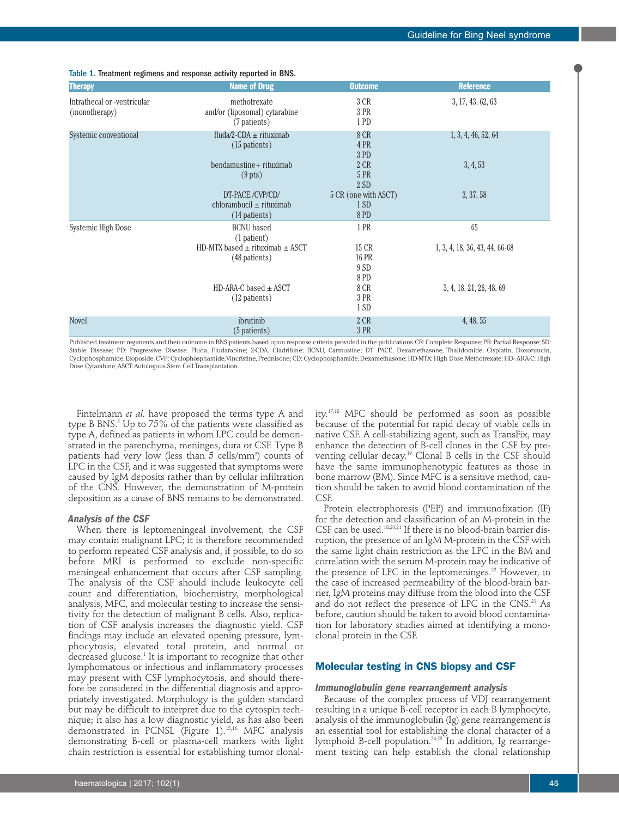| <b>Therapy</b>                               | <b>Name of Drug</b>                                              | <b>Outcome</b>                       | <b>Reference</b>               |
|----------------------------------------------|------------------------------------------------------------------|--------------------------------------|--------------------------------|
| Intrathecal or -ventricular<br>(monotherapy) | methotrexate<br>and/or (liposomal) cytarabine<br>(7 patients)    | 3 CR<br>3 PR<br>1 PD                 | 3, 17, 43, 62, 63              |
| Systemic conventional                        | fluda/2-CDA $\pm$ rituximab<br>$(15$ patients)                   | 8 CR<br>4 PR<br>3 PD                 | 1, 3, 4, 46, 52, 64            |
|                                              | bendamustine+ rituximab<br>$(9$ pts)                             | 2 CR<br>5 PR<br>2SD                  | 3, 4, 53                       |
|                                              | DT-PACE/CVP/CD/<br>chlorambucil $\pm$ rituximab<br>(14 patients) | 5 CR (one with ASCT)<br>1 SD<br>8 PD | 3, 37, 58                      |
| Systemic High Dose                           | <b>BCNU</b> based<br>(1 patient)                                 | 1 PR                                 | 65                             |
|                                              | HD-MTX based $\pm$ rituximab $\pm$ ASCT<br>(48 patients)         | 15 CR<br>16 PR<br>9 SD<br>8 PD       | 1, 3, 4, 18, 36, 43, 44, 66-68 |
|                                              | $HD-ARA-C$ based $\pm$ ASCT<br>(12 patients)                     | 8 CR<br>3 PR<br>1 SD                 | 3, 4, 18, 21, 26, 48, 69       |
| <b>Novel</b>                                 | ibrutinib<br>(5 patients)                                        | 2 CR<br>3 PR                         | 4, 48, 55                      |

# Table 1. Treatment regimens and response activity reported in BNS.

Published treatment regiments and their outcome in BNS patients based upon response criteria provided in the publications. CR: Complete Response; PR: Partial Response; SD: Stable Disease; PD: Progressive Disease. Fluda, Fludarabine; 2-CDA, Cladribine; BCNU, Carmustine; DT PACE, Dexamethasone, Thalidomide, Cisplatin, Doxoruucin, Cyclophosphamide, Etoposide. CVP: Cyclophosphamide, Vincristine, Prednisone; CD: Cyclophosphamide, Dexamethasone; HD-MTX: High Dose Methotrexate; HD- ARA-C: High Dose Cytarabine; ASCT: Autologous Stem Cell Transplantation.

Fintelmann *et al*. have proposed the terms type A and type B BNS. $5$  Up to 75% of the patients were classified as type A, defined as patients in whom LPC could be demonstrated in the parenchyma, meninges, dura or CSF. Type B patients had very low (less than 5 cells/mm3) counts of LPC in the CSF, and it was suggested that symptoms were caused by IgM deposits rather than by cellular infiltration of the CNS. However, the demonstration of M-protein deposition as a cause of BNS remains to be demonstrated.

### *Analysis of the CSF*

When there is leptomeningeal involvement, the CSF may contain malignant LPC; it is therefore recommended to perform repeated CSF analysis and, if possible, to do so before MRI is performed to exclude non-specific meningeal enhancement that occurs after CSF sampling. The analysis of the CSF should include leukocyte cell count and differentiation, biochemistry, morphological analysis, MFC, and molecular testing to increase the sensitivity for the detection of malignant B cells. Also, replication of CSF analysis increases the diagnostic yield. CSF findings may include an elevated opening pressure, lymphocytosis, elevated total protein, and normal or decreased glucose.<sup>1</sup> It is important to recognize that other lymphomatous or infectious and inflammatory processes may present with CSF lymphocytosis, and should therefore be considered in the differential diagnosis and appropriately investigated. Morphology is the golden standard but may be difficult to interpret due to the cytospin technique; it also has a low diagnostic yield, as has also been demonstrated in PCNSL (Figure 1).15,16 MFC analysis demonstrating B-cell or plasma-cell markers with light chain restriction is essential for establishing tumor clonality.17,18 MFC should be performed as soon as possible because of the potential for rapid decay of viable cells in native CSF. A cell-stabilizing agent, such as TransFix, may enhance the detection of B-cell clones in the CSF by preventing cellular decay.19 Clonal B cells in the CSF should have the same immunophenotypic features as those in bone marrow (BM). Since MFC is a sensitive method, caution should be taken to avoid blood contamination of the CSF.

Protein electrophoresis (PEP) and immunofixation (IF) for the detection and classification of an M-protein in the CSF can be used.18,20,21 If there is no blood-brain barrier disruption, the presence of an IgM M-protein in the CSF with the same light chain restriction as the LPC in the BM and correlation with the serum M-protein may be indicative of the presence of LPC in the leptomeninges.<sup>22</sup> However, in the case of increased permeability of the blood-brain barrier, IgM proteins may diffuse from the blood into the CSF and do not reflect the presence of LPC in the CNS.<sup>23</sup> As before, caution should be taken to avoid blood contamination for laboratory studies aimed at identifying a monoclonal protein in the CSF.

# **Molecular testing in CNS biopsy and CSF**

## *Immunoglobulin gene rearrangement analysis*

Because of the complex process of VDJ rearrangement resulting in a unique B-cell receptor in each B lymphocyte, analysis of the immunoglobulin (Ig) gene rearrangement is an essential tool for establishing the clonal character of a lymphoid B-cell population.<sup>24,25</sup> In addition, Ig rearrangement testing can help establish the clonal relationship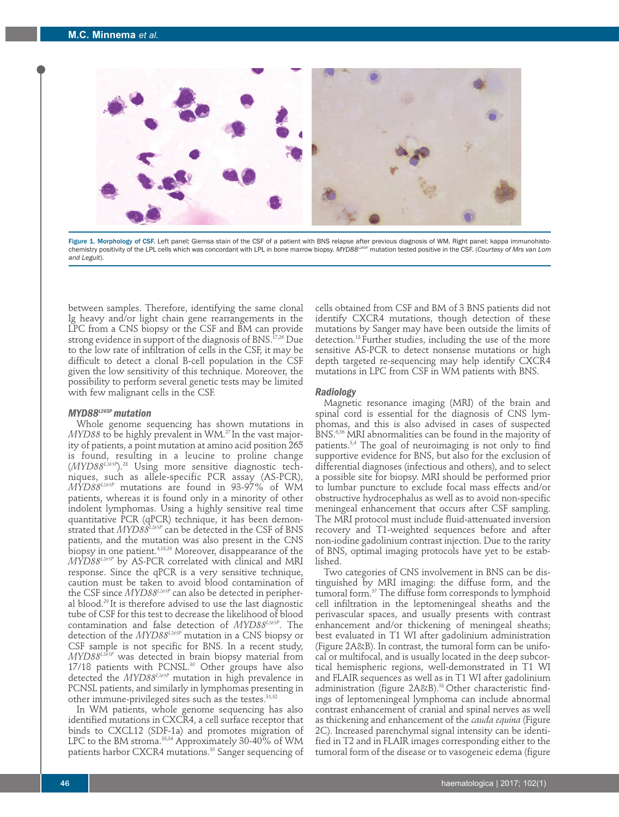

Figure 1. Morphology of CSF. Left panel; Giemsa stain of the CSF of a patient with BNS relapse after previous diagnosis of WM. Right panel; kappa immunohistochemistry positivity of the LPL cells which was concordant with LPL in bone marrow biopsy. *MYD88L265P* mutation tested positive in the CSF. (*Courtesy of Mrs van Lom and Leguit*).

between samples. Therefore, identifying the same clonal Ig heavy and/or light chain gene rearrangements in the LPC from a CNS biopsy or the CSF and BM can provide strong evidence in support of the diagnosis of BNS.<sup>17,26</sup> Due to the low rate of infiltration of cells in the CSF, it may be difficult to detect a clonal B-cell population in the CSF given the low sensitivity of this technique. Moreover, the possibility to perform several genetic tests may be limited with few malignant cells in the CSF.

#### *MYD88L265P mutation*

Whole genome sequencing has shown mutations in *MYD88* to be highly prevalent in WM.<sup>27</sup> In the vast majority of patients, a point mutation at amino acid position 265 is found, resulting in a leucine to proline change (*MYD88L265P*).28 Using more sensitive diagnostic techniques, such as allele-specific PCR assay (AS-PCR), *MYD88L265P* mutations are found in 93-97% of WM patients, whereas it is found only in a minority of other indolent lymphomas. Using a highly sensitive real time quantitative PCR (qPCR) technique, it has been demonstrated that *MYD88<sup>L265P</sup>* can be detected in the CSF of BNS patients, and the mutation was also present in the CNS biopsy in one patient.4,18,26 Moreover, disappearance of the *MYD88L265P* by AS-PCR correlated with clinical and MRI response. Since the qPCR is a very sensitive technique, caution must be taken to avoid blood contamination of the CSF since *MYD88L265P* can also be detected in peripheral blood.29 It is therefore advised to use the last diagnostic tube of CSF for this test to decrease the likelihood of blood contamination and false detection of *MYD88L265P*. The detection of the *MYD88L265P* mutation in a CNS biopsy or CSF sample is not specific for BNS. In a recent study, *MYD88L265P* was detected in brain biopsy material from 17/18 patients with PCNSL.<sup>30</sup> Other groups have also detected the *MYD88L265P* mutation in high prevalence in PCNSL patients, and similarly in lymphomas presenting in other immune-privileged sites such as the testes.<sup>31,32</sup>

In WM patients, whole genome sequencing has also identified mutations in CXCR4, a cell surface receptor that binds to CXCL12 (SDF-1a) and promotes migration of LPC to the BM stroma.<sup>33,34</sup> Approximately 30-40% of WM patients harbor CXCR4 mutations.<sup>35</sup> Sanger sequencing of cells obtained from CSF and BM of 3 BNS patients did not identify CXCR4 mutations, though detection of these mutations by Sanger may have been outside the limits of detection.18 Further studies, including the use of the more sensitive AS-PCR to detect nonsense mutations or high depth targeted re-sequencing may help identify CXCR4 mutations in LPC from CSF in WM patients with BNS.

#### *Radiology*

Magnetic resonance imaging (MRI) of the brain and spinal cord is essential for the diagnosis of CNS lymphomas, and this is also advised in cases of suspected BNS.6,36 MRI abnormalities can be found in the majority of patients.3,4 The goal of neuroimaging is not only to find supportive evidence for BNS, but also for the exclusion of differential diagnoses (infectious and others), and to select a possible site for biopsy. MRI should be performed prior to lumbar puncture to exclude focal mass effects and/or obstructive hydrocephalus as well as to avoid non-specific meningeal enhancement that occurs after CSF sampling. The MRI protocol must include fluid-attenuated inversion recovery and T1-weighted sequences before and after non-iodine gadolinium contrast injection. Due to the rarity of BNS, optimal imaging protocols have yet to be established.

Two categories of CNS involvement in BNS can be distinguished by MRI imaging: the diffuse form, and the tumoral form.37 The diffuse form corresponds to lymphoid cell infiltration in the leptomeningeal sheaths and the perivascular spaces, and usually presents with contrast enhancement and/or thickening of meningeal sheaths; best evaluated in T1 WI after gadolinium administration (Figure 2A&B). In contrast, the tumoral form can be unifocal or multifocal, and is usually located in the deep subcortical hemispheric regions, well-demonstrated in T1 WI and FLAIR sequences as well as in T1 WI after gadolinium administration (figure 2A&B).<sup>38</sup> Other characteristic findings of leptomeningeal lymphoma can include abnormal contrast enhancement of cranial and spinal nerves as well as thickening and enhancement of the *cauda equina* (Figure 2C). Increased parenchymal signal intensity can be identified in T2 and in FLAIR images corresponding either to the tumoral form of the disease or to vasogeneic edema (figure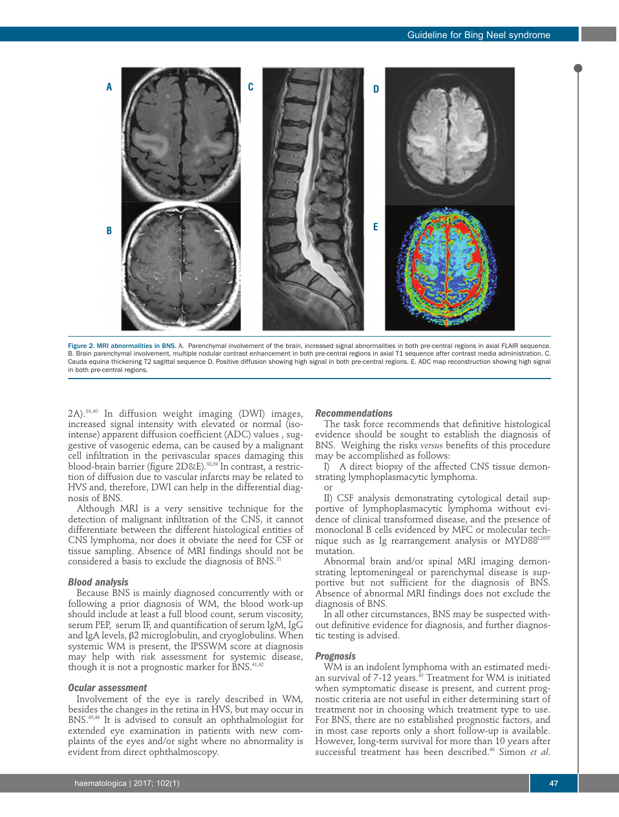

Figure 2. MRI abnormalities in BNS. A. Parenchymal involvement of the brain, increased signal abnormalities in both pre-central regions in axial FLAIR sequence. B. Brain parenchymal involvement, multiple nodular contrast enhancement in both pre-central regions in axial T1 sequence after contrast media administration. C. Cauda equina thickening T2 sagittal sequence D. Positive diffusion showing high signal in both pre-central regions. E. ADC map reconstruction showing high signal in both pre-central regions.

2A).39,40 In diffusion weight imaging (DWI) images, increased signal intensity with elevated or normal (isointense) apparent diffusion coefficient (ADC) values , suggestive of vasogenic edema, can be caused by a malignant cell infiltration in the perivascular spaces damaging this blood-brain barrier (figure 2D&E).<sup>38,39</sup> In contrast, a restriction of diffusion due to vascular infarcts may be related to HVS and, therefore, DWI can help in the differential diagnosis of BNS.

Although MRI is a very sensitive technique for the detection of malignant infiltration of the CNS, it cannot differentiate between the different histological entities of CNS lymphoma, nor does it obviate the need for CSF or tissue sampling. Absence of MRI findings should not be considered a basis to exclude the diagnosis of BNS.<sup>21</sup>

## *Blood analysis*

Because BNS is mainly diagnosed concurrently with or following a prior diagnosis of WM, the blood work-up should include at least a full blood count, serum viscosity, serum PEP, serum IF, and quantification of serum IgM, IgG and IgA levels, β2 microglobulin, and cryoglobulins. When systemic WM is present, the IPSSWM score at diagnosis may help with risk assessment for systemic disease, though it is not a prognostic marker for BNS.<sup>41,42</sup>

#### *Ocular assessment*

Involvement of the eye is rarely described in WM, besides the changes in the retina in HVS, but may occur in BNS.43,44 It is advised to consult an ophthalmologist for extended eye examination in patients with new complaints of the eyes and/or sight where no abnormality is evident from direct ophthalmoscopy.

# *Recommendations*

The task force recommends that definitive histological evidence should be sought to establish the diagnosis of BNS. Weighing the risks *versus* benefits of this procedure may be accomplished as follows:

I) A direct biopsy of the affected CNS tissue demonstrating lymphoplasmacytic lymphoma.

or

II) CSF analysis demonstrating cytological detail supportive of lymphoplasmacytic lymphoma without evidence of clinical transformed disease, and the presence of monoclonal B cells evidenced by MFC or molecular technique such as Ig rearrangement analysis or MYD88L265E mutation.

Abnormal brain and/or spinal MRI imaging demonstrating leptomeningeal or parenchymal disease is supportive but not sufficient for the diagnosis of BNS. Absence of abnormal MRI findings does not exclude the diagnosis of BNS.

In all other circumstances, BNS may be suspected without definitive evidence for diagnosis, and further diagnostic testing is advised.

#### *Prognosis*

WM is an indolent lymphoma with an estimated median survival of 7-12 years.<sup>45</sup> Treatment for WM is initiated when symptomatic disease is present, and current prognostic criteria are not useful in either determining start of treatment nor in choosing which treatment type to use. For BNS, there are no established prognostic factors, and in most case reports only a short follow-up is available. However, long-term survival for more than 10 years after successful treatment has been described.46 Simon *et al*.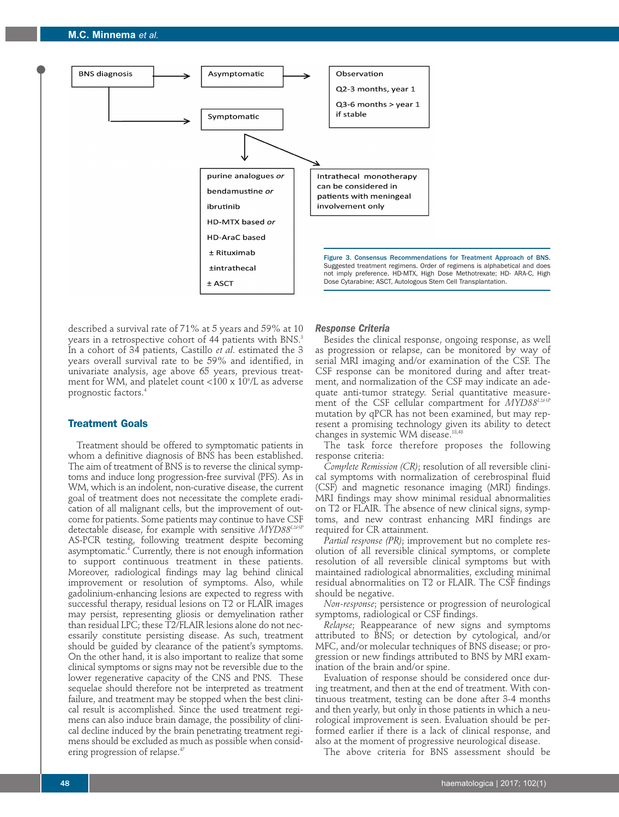

described a survival rate of 71% at 5 years and 59% at 10 years in a retrospective cohort of 44 patients with BNS.<sup>3</sup> In a cohort of 34 patients, Castillo *et al*. estimated the 3 years overall survival rate to be 59% and identified, in univariate analysis, age above 65 years, previous treatment for WM, and platelet count <100 x 109 /L as adverse prognostic factors.4

# **Treatment Goals**

Treatment should be offered to symptomatic patients in whom a definitive diagnosis of BNS has been established. The aim of treatment of BNS is to reverse the clinical symptoms and induce long progression-free survival (PFS). As in WM, which is an indolent, non-curative disease, the current goal of treatment does not necessitate the complete eradication of all malignant cells, but the improvement of outcome for patients. Some patients may continue to have CSF detectable disease, for example with sensitive *MYD88L265P* AS-PCR testing, following treatment despite becoming asymptomatic.4 Currently, there is not enough information to support continuous treatment in these patients. Moreover, radiological findings may lag behind clinical improvement or resolution of symptoms. Also, while gadolinium-enhancing lesions are expected to regress with successful therapy, residual lesions on T2 or FLAIR images may persist, representing gliosis or demyelination rather than residual LPC; these T2/FLAIR lesions alone do not necessarily constitute persisting disease. As such, treatment should be guided by clearance of the patient's symptoms. On the other hand, it is also important to realize that some clinical symptoms or signs may not be reversible due to the lower regenerative capacity of the CNS and PNS. These sequelae should therefore not be interpreted as treatment failure, and treatment may be stopped when the best clinical result is accomplished. Since the used treatment regimens can also induce brain damage, the possibility of clinical decline induced by the brain penetrating treatment regimens should be excluded as much as possible when considering progression of relapse.<sup>47</sup>

# *Response Criteria*

Besides the clinical response, ongoing response, as well as progression or relapse, can be monitored by way of serial MRI imaging and/or examination of the CSF. The CSF response can be monitored during and after treatment, and normalization of the CSF may indicate an adequate anti-tumor strategy. Serial quantitative measurement of the CSF cellular compartment for *MYD88L265P* mutation by qPCR has not been examined, but may represent a promising technology given its ability to detect changes in systemic WM disease.18,48

The task force therefore proposes the following response criteria:

*Complete Remission (CR)*; resolution of all reversible clinical symptoms with normalization of cerebrospinal fluid (CSF) and magnetic resonance imaging (MRI) findings. MRI findings may show minimal residual abnormalities on T2 or FLAIR. The absence of new clinical signs, symptoms, and new contrast enhancing MRI findings are required for CR attainment.

*Partial response (PR)*; improvement but no complete resolution of all reversible clinical symptoms, or complete resolution of all reversible clinical symptoms but with maintained radiological abnormalities, excluding minimal residual abnormalities on T2 or FLAIR. The CSF findings should be negative.

*Non-response*; persistence or progression of neurological symptoms, radiological or CSF findings.

*Relapse*; Reappearance of new signs and symptoms attributed to BNS; or detection by cytological, and/or MFC, and/or molecular techniques of BNS disease; or progression or new findings attributed to BNS by MRI examination of the brain and/or spine.

Evaluation of response should be considered once during treatment, and then at the end of treatment. With continuous treatment, testing can be done after 3-4 months and then yearly, but only in those patients in which a neurological improvement is seen. Evaluation should be performed earlier if there is a lack of clinical response, and also at the moment of progressive neurological disease.

The above criteria for BNS assessment should be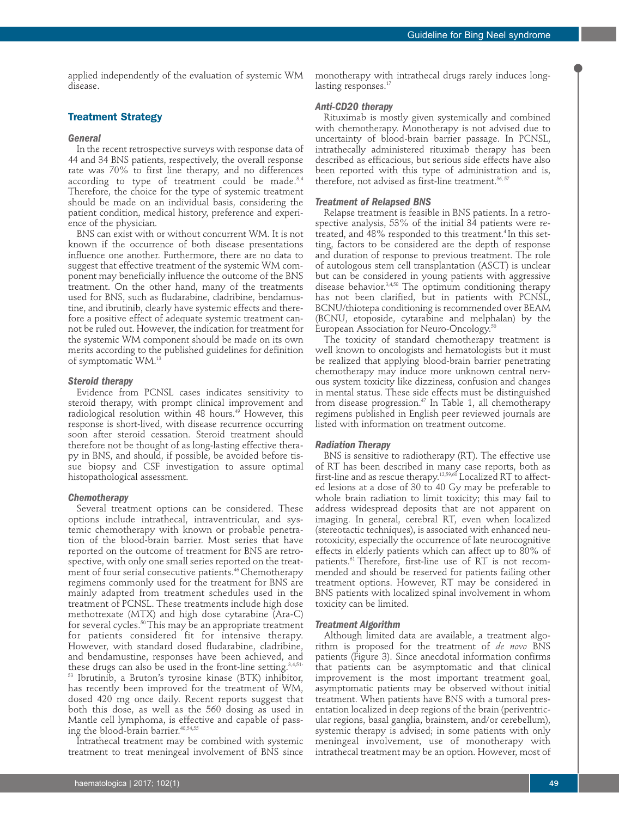applied independently of the evaluation of systemic WM disease.

# **Treatment Strategy**

## *General*

In the recent retrospective surveys with response data of 44 and 34 BNS patients, respectively, the overall response rate was 70% to first line therapy, and no differences according to type of treatment could be made. $3,4$ Therefore, the choice for the type of systemic treatment should be made on an individual basis, considering the patient condition, medical history, preference and experience of the physician.

BNS can exist with or without concurrent WM. It is not known if the occurrence of both disease presentations influence one another. Furthermore, there are no data to suggest that effective treatment of the systemic WM component may beneficially influence the outcome of the BNS treatment. On the other hand, many of the treatments used for BNS, such as fludarabine, cladribine, bendamustine, and ibrutinib, clearly have systemic effects and therefore a positive effect of adequate systemic treatment cannot be ruled out. However, the indication for treatment for the systemic WM component should be made on its own merits according to the published guidelines for definition of symptomatic WM.13

## *Steroid therapy*

Evidence from PCNSL cases indicates sensitivity to steroid therapy, with prompt clinical improvement and radiological resolution within 48 hours.<sup>49</sup> However, this response is short-lived, with disease recurrence occurring soon after steroid cessation. Steroid treatment should therefore not be thought of as long-lasting effective therapy in BNS, and should, if possible, be avoided before tissue biopsy and CSF investigation to assure optimal histopathological assessment.

#### *Chemotherapy*

Several treatment options can be considered. These options include intrathecal, intraventricular, and systemic chemotherapy with known or probable penetration of the blood-brain barrier. Most series that have reported on the outcome of treatment for BNS are retrospective, with only one small series reported on the treatment of four serial consecutive patients.<sup>46</sup> Chemotherapy regimens commonly used for the treatment for BNS are mainly adapted from treatment schedules used in the treatment of PCNSL. These treatments include high dose methotrexate (MTX) and high dose cytarabine (Ara-C) for several cycles.50 This may be an appropriate treatment for patients considered fit for intensive therapy. However, with standard dosed fludarabine, cladribine, and bendamustine, responses have been achieved, and these drugs can also be used in the front-line setting.<sup>3,4,51-</sup> <sup>53</sup> Ibrutinib, a Bruton's tyrosine kinase (BTK) inhibitor, has recently been improved for the treatment of WM, dosed 420 mg once daily. Recent reports suggest that both this dose, as well as the 560 dosing as used in Mantle cell lymphoma, is effective and capable of passing the blood-brain barrier.<sup>48,54,55</sup>

Intrathecal treatment may be combined with systemic treatment to treat meningeal involvement of BNS since

monotherapy with intrathecal drugs rarely induces longlasting responses.<sup>17</sup>

## *Anti-CD20 therapy*

Rituximab is mostly given systemically and combined with chemotherapy. Monotherapy is not advised due to uncertainty of blood-brain barrier passage. In PCNSL, intrathecally administered rituximab therapy has been described as efficacious, but serious side effects have also been reported with this type of administration and is, therefore, not advised as first-line treatment. $56, 57$ 

#### *Treatment of Relapsed BNS*

Relapse treatment is feasible in BNS patients. In a retrospective analysis, 53% of the initial 34 patients were retreated, and 48% responded to this treatment.<sup>4</sup> In this setting, factors to be considered are the depth of response and duration of response to previous treatment. The role of autologous stem cell transplantation (ASCT) is unclear but can be considered in young patients with aggressive disease behavior.<sup>3,4,58</sup> The optimum conditioning therapy has not been clarified, but in patients with PCNSL, BCNU/thiotepa conditioning is recommended over BEAM (BCNU, etoposide, cytarabine and melphalan) by the European Association for Neuro-Oncology.<sup>50</sup>

The toxicity of standard chemotherapy treatment is well known to oncologists and hematologists but it must be realized that applying blood-brain barrier penetrating chemotherapy may induce more unknown central nervous system toxicity like dizziness, confusion and changes in mental status. These side effects must be distinguished from disease progression.<sup>47</sup> In Table 1, all chemotherapy regimens published in English peer reviewed journals are listed with information on treatment outcome.

## *Radiation Therapy*

BNS is sensitive to radiotherapy (RT). The effective use of RT has been described in many case reports, both as first-line and as rescue therapy. $^{12,59,60}$  Localized RT to affected lesions at a dose of 30 to 40 Gy may be preferable to whole brain radiation to limit toxicity; this may fail to address widespread deposits that are not apparent on imaging. In general, cerebral RT, even when localized (stereotactic techniques), is associated with enhanced neurotoxicity, especially the occurrence of late neurocognitive effects in elderly patients which can affect up to 80% of patients.61 Therefore, first-line use of RT is not recommended and should be reserved for patients failing other treatment options. However, RT may be considered in BNS patients with localized spinal involvement in whom toxicity can be limited.

#### *Treatment Algorithm*

Although limited data are available, a treatment algorithm is proposed for the treatment of *de novo* BNS patients (Figure 3). Since anecdotal information confirms that patients can be asymptomatic and that clinical improvement is the most important treatment goal, asymptomatic patients may be observed without initial treatment. When patients have BNS with a tumoral presentation localized in deep regions of the brain (periventricular regions, basal ganglia, brainstem, and/or cerebellum), systemic therapy is advised; in some patients with only meningeal involvement, use of monotherapy with intrathecal treatment may be an option. However, most of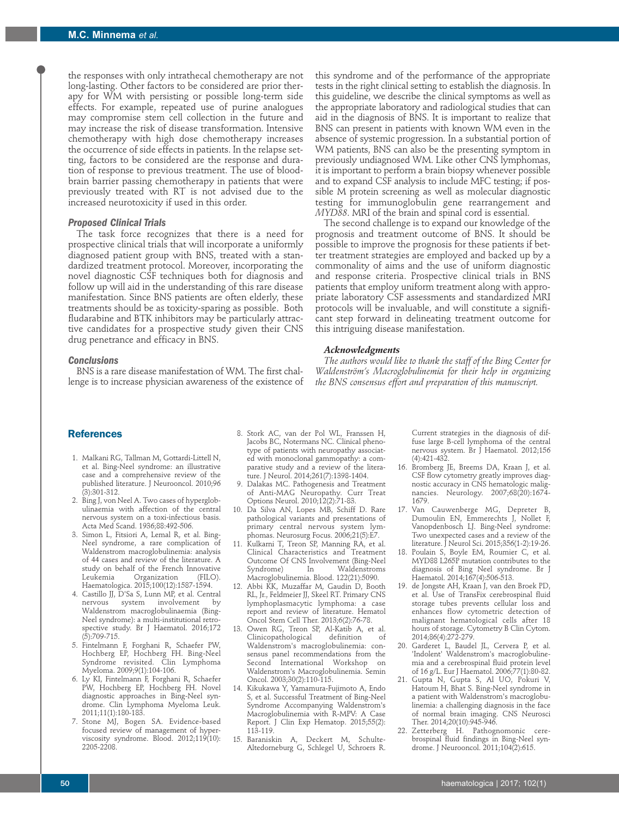the responses with only intrathecal chemotherapy are not long-lasting. Other factors to be considered are prior therapy for WM with persisting or possible long-term side effects. For example, repeated use of purine analogues may compromise stem cell collection in the future and may increase the risk of disease transformation. Intensive chemotherapy with high dose chemotherapy increases the occurrence of side effects in patients. In the relapse setting, factors to be considered are the response and duration of response to previous treatment. The use of bloodbrain barrier passing chemotherapy in patients that were previously treated with RT is not advised due to the increased neurotoxicity if used in this order.

## *Proposed Clinical Trials*

The task force recognizes that there is a need for prospective clinical trials that will incorporate a uniformly diagnosed patient group with BNS, treated with a standardized treatment protocol. Moreover, incorporating the novel diagnostic CSF techniques both for diagnosis and follow up will aid in the understanding of this rare disease manifestation. Since BNS patients are often elderly, these treatments should be as toxicity-sparing as possible. Both fludarabine and BTK inhibitors may be particularly attractive candidates for a prospective study given their CNS drug penetrance and efficacy in BNS.

## *Conclusions*

BNS is a rare disease manifestation of WM. The first challenge is to increase physician awareness of the existence of

this syndrome and of the performance of the appropriate tests in the right clinical setting to establish the diagnosis. In this guideline, we describe the clinical symptoms as well as the appropriate laboratory and radiological studies that can aid in the diagnosis of BNS. It is important to realize that BNS can present in patients with known WM even in the absence of systemic progression. In a substantial portion of WM patients, BNS can also be the presenting symptom in previously undiagnosed WM. Like other CNS lymphomas, it is important to perform a brain biopsy whenever possible and to expand CSF analysis to include MFC testing; if possible M protein screening as well as molecular diagnostic testing for immunoglobulin gene rearrangement and *MYD88*. MRI of the brain and spinal cord is essential.

The second challenge is to expand our knowledge of the prognosis and treatment outcome of BNS. It should be possible to improve the prognosis for these patients if better treatment strategies are employed and backed up by a commonality of aims and the use of uniform diagnostic and response criteria. Prospective clinical trials in BNS patients that employ uniform treatment along with appropriate laboratory CSF assessments and standardized MRI protocols will be invaluable, and will constitute a significant step forward in delineating treatment outcome for this intriguing disease manifestation.

#### *Acknowledgments*

*The authors would like to thank the staff of the Bing Center for Waldenström's Macroglobulinemia for their help in organizing the BNS consensus effort and preparation of this manuscript.*

# **References**

- 1. Malkani RG, Tallman M, Gottardi-Littell N, et al. Bing-Neel syndrome: an illustrative case and a comprehensive review of the published literature. J Neurooncol. 2010;96 (3):301-312.
- 2. Bing J, von Neel A. Two cases of hyperglobulinaemia with affection of the central nervous system on a toxi-infectious basis. Acta Med Scand. 1936;88:492-506.
- 3. Simon L, Fitsiori A, Lemal R, et al. Bing-Neel syndrome, a rare complication of Waldenstrom macroglobulinemia: analysis of 44 cases and review of the literature. A study on behalf of the French Innovative<br>Leukemia Organization (FILO). Organization Haematologica. 2015;100(12):1587-1594.
- 4. Castillo JJ, D'Sa S, Lunn MP, et al. Central nervous system involvement by Waldenstrom macroglobulinaemia (Bing-Neel syndrome): a multi-institutional retrospective study. Br J Haematol. 2016;172  $(5):709-715.$
- 5. Fintelmann F, Forghani R, Schaefer PW, Hochberg EP, Hochberg FH. Bing-Neel Syndrome revisited. Clin Lymphoma Myeloma. 2009;9(1):104-106.
- 6. Ly KI, Fintelmann F, Forghani R, Schaefer PW, Hochberg EP, Hochberg FH. Novel diagnostic approaches in Bing-Neel syndrome. Clin Lymphoma Myeloma Leuk. 2011;11(1):180-183.
- 7. Stone MJ, Bogen SA. Evidence-based focused review of management of hyperviscosity syndrome. Blood. 2012;119(10): 2205-2208.
- 8. Stork AC, van der Pol WL, Franssen H, Jacobs BC, Notermans NC. Clinical phenotype of patients with neuropathy associated with monoclonal gammopathy: a comparative study and a review of the literature. J Neurol. 2014;261(7):1398-1404.
- 9. Dalakas MC. Pathogenesis and Treatment of Anti-MAG Neuropathy. Curr Treat Options Neurol. 2010;12(2):71-83.
- 10. Da Silva AN, Lopes MB, Schiff D. Rare pathological variants and presentations of primary central nervous system lymphomas. Neurosurg Focus. 2006;21(5):E7.
- 11. Kulkarni T, Treon SP, Manning RA, et al. Clinical Characteristics and Treatment Outcome Of CNS Involvement (Bing-Neel Waldenstroms Macroglobulinemia. Blood. 122(21):5090.
- 12. Abbi KK, Muzaffar M, Gaudin D, Booth RL, Jr., Feldmeier JJ, Skeel RT. Primary CNS lymphoplasmacytic lymphoma: a case report and review of literature. Hematol Oncol Stem Cell Ther. 2013;6(2):76-78.
- 13. Owen RG, Treon SP, Al-Katib A, et al.<br>Clinicopathological definition of Clinicopathological Waldenstrom's macroglobulinemia: consensus panel recommendations from the Second International Workshop on Waldenstrom's Macroglobulinemia. Semin Oncol. 2003;30(2):110-115.
- 14. Kikukawa Y, Yamamura-Fujimoto A, Endo S, et al. Successful Treatment of Bing-Neel Syndrome Accompanying Waldenstrom's Macroglobulinemia with R-MPV: A Case Report. J Clin Exp Hematop. 2015;55(2): 113-119.
- 15. Baraniskin A, Deckert M, Schulte-Altedorneburg G, Schlegel U, Schroers R.

Current strategies in the diagnosis of diffuse large B-cell lymphoma of the central nervous system. Br J Haematol. 2012;156 (4):421-432.

- 16. Bromberg JE, Breems DA, Kraan J, et al. CSF flow cytometry greatly improves diagnostic accuracy in CNS hematologic malignancies. Neurology. 2007;68(20):1674- 1679.
- 17. Van Cauwenberge MG, Depreter B, Dumoulin EN, Emmerechts J, Nollet F, Vanopdenbosch LJ. Bing-Neel syndrome: Two unexpected cases and a review of the literature. J Neurol Sci. 2015;356(1-2):19-26.
- 18. Poulain S, Boyle EM, Roumier C, et al. MYD88 L265P mutation contributes to the diagnosis of Bing Neel syndrome. Br J Haematol. 2014;167(4):506-513.
- 19. de Jongste AH, Kraan J, van den Broek PD, et al. Use of TransFix cerebrospinal fluid storage tubes prevents cellular loss and enhances flow cytometric detection of malignant hematological cells after 18 hours of storage. Cytometry B Clin Cytom. 2014;86(4):272-279.
- 20. Garderet L, Baudel JL, Cervera P, et al. 'Indolent' Waldenstrom's macroglobulinemia and a cerebrospinal fluid protein level of 16 g/L. Eur J Haematol. 2006;77(1):80-82.
- 21. Gupta N, Gupta S, Al UO, Pokuri V, Hatoum H, Bhat S. Bing-Neel syndrome in a patient with Waldenstrom's macroglobulinemia: a challenging diagnosis in the face of normal brain imaging. CNS Neurosci Ther. 2014;20(10):945-946.
- 22. Zetterberg H. Pathognomonic cerebrospinal fluid findings in Bing-Neel syndrome. J Neurooncol. 2011;104(2):615.